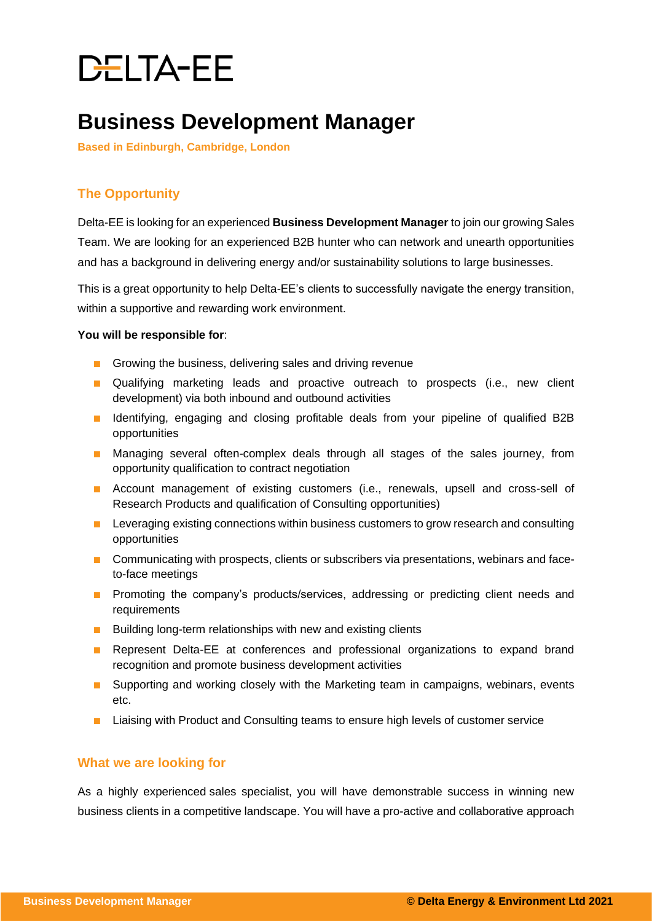# DELTA-EE

### **Business Development Manager**

**Based in Edinburgh, Cambridge, London**

### **The Opportunity**

Delta-EE is looking for an experienced **Business Development Manager** to join our growing Sales Team. We are looking for an experienced B2B hunter who can network and unearth opportunities and has a background in delivering energy and/or sustainability solutions to large businesses.

This is a great opportunity to help Delta-EE's clients to successfully navigate the energy transition, within a supportive and rewarding work environment.

#### **You will be responsible for**:

- Growing the business, delivering sales and driving revenue
- Qualifying marketing leads and proactive outreach to prospects (i.e., new client development) via both inbound and outbound activities
- Identifying, engaging and closing profitable deals from your pipeline of qualified B2B opportunities
- Managing several often-complex deals through all stages of the sales journey, from opportunity qualification to contract negotiation
- Account management of existing customers (i.e., renewals, upsell and cross-sell of Research Products and qualification of Consulting opportunities)
- Leveraging existing connections within business customers to grow research and consulting opportunities
- Communicating with prospects, clients or subscribers via presentations, webinars and faceto-face meetings
- Promoting the company's products/services, addressing or predicting client needs and requirements
- Building long-term relationships with new and existing clients
- Represent Delta-EE at conferences and professional organizations to expand brand recognition and promote business development activities
- Supporting and working closely with the Marketing team in campaigns, webinars, events etc.
- Liaising with Product and Consulting teams to ensure high levels of customer service

#### **What we are looking for**

As a highly experienced sales specialist, you will have demonstrable success in winning new business clients in a competitive landscape. You will have a pro-active and collaborative approach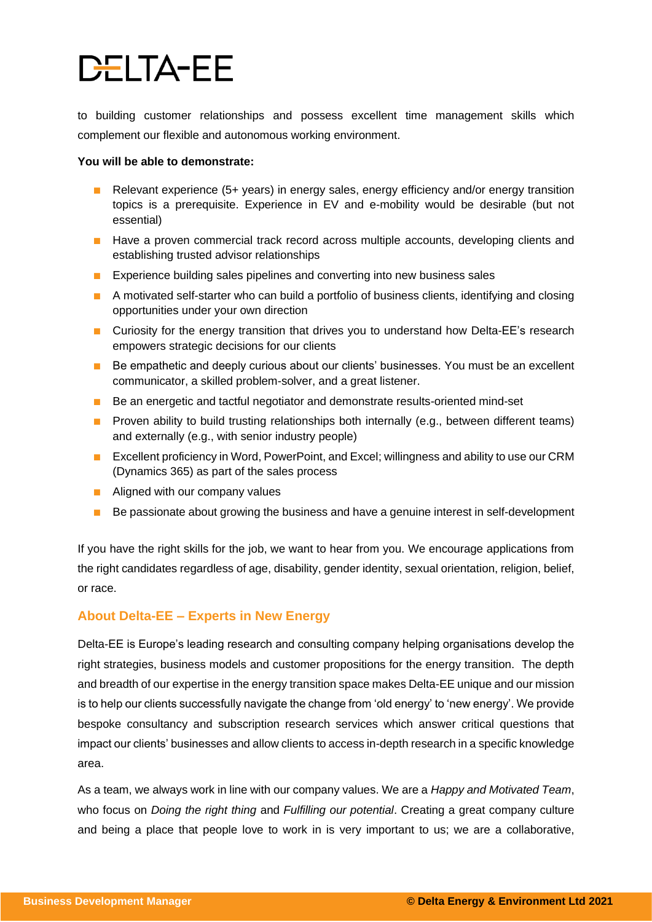## **DELTA-EE**

to building customer relationships and possess excellent time management skills which complement our flexible and autonomous working environment.

#### **You will be able to demonstrate:**

- Relevant experience (5+ years) in energy sales, energy efficiency and/or energy transition topics is a prerequisite. Experience in EV and e-mobility would be desirable (but not essential)
- Have a proven commercial track record across multiple accounts, developing clients and establishing trusted advisor relationships
- Experience building sales pipelines and converting into new business sales
- A motivated self-starter who can build a portfolio of business clients, identifying and closing opportunities under your own direction
- Curiosity for the energy transition that drives you to understand how Delta-EE's research empowers strategic decisions for our clients
- Be empathetic and deeply curious about our clients' businesses. You must be an excellent communicator, a skilled problem-solver, and a great listener.
- Be an energetic and tactful negotiator and demonstrate results-oriented mind-set
- Proven ability to build trusting relationships both internally (e.g., between different teams) and externally (e.g., with senior industry people)
- Excellent proficiency in Word, PowerPoint, and Excel; willingness and ability to use our CRM (Dynamics 365) as part of the sales process
- Aligned with our company values
- Be passionate about growing the business and have a genuine interest in self-development

If you have the right skills for the job, we want to hear from you. We encourage applications from the right candidates regardless of age, disability, gender identity, sexual orientation, religion, belief, or race.

#### **About Delta-EE – Experts in New Energy**

Delta-EE is Europe's leading research and consulting company helping organisations develop the right strategies, business models and customer propositions for the energy transition. The depth and breadth of our expertise in the energy transition space makes Delta-EE unique and our mission is to help our clients successfully navigate the change from 'old energy' to 'new energy'. We provide bespoke consultancy and subscription research services which answer critical questions that impact our clients' businesses and allow clients to access in-depth research in a specific knowledge area.

As a team, we always work in line with our company values. We are a *Happy and Motivated Team*, who focus on *Doing the right thing* and *Fulfilling our potential*. Creating a great company culture and being a place that people love to work in is very important to us; we are a collaborative,